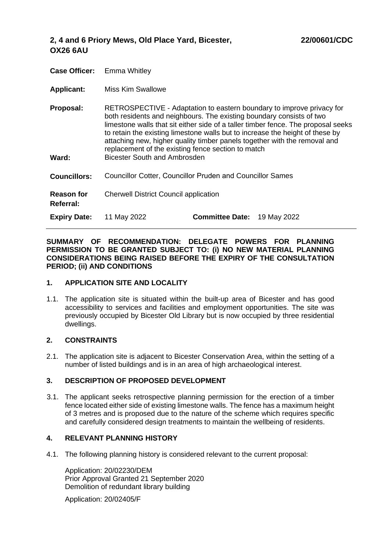| <b>Case Officer:</b> | Emma Whitley |  |
|----------------------|--------------|--|
|                      |              |  |

- **Applicant:**  Miss Kim Swallowe
- **Proposal: Ward: Councillors:** RETROSPECTIVE - Adaptation to eastern boundary to improve privacy for both residents and neighbours. The existing boundary consists of two limestone walls that sit either side of a taller timber fence. The proposal seeks to retain the existing limestone walls but to increase the height of these by attaching new, higher quality timber panels together with the removal and replacement of the existing fence section to match Bicester South and Ambrosden Councillor Cotter, Councillor Pruden and Councillor Sames
- **Reason for**  Cherwell District Council application

**Expiry Date:** 11 May 2022 **Committee Date:** 19 May 2022

**SUMMARY OF RECOMMENDATION: DELEGATE POWERS FOR PLANNING PERMISSION TO BE GRANTED SUBJECT TO: (i) NO NEW MATERIAL PLANNING CONSIDERATIONS BEING RAISED BEFORE THE EXPIRY OF THE CONSULTATION PERIOD; (ii) AND CONDITIONS**

#### **1. APPLICATION SITE AND LOCALITY**

1.1. The application site is situated within the built-up area of Bicester and has good accessibility to services and facilities and employment opportunities. The site was previously occupied by Bicester Old Library but is now occupied by three residential dwellings.

# **2. CONSTRAINTS**

**Referral:**

2.1. The application site is adjacent to Bicester Conservation Area, within the setting of a number of listed buildings and is in an area of high archaeological interest.

# **3. DESCRIPTION OF PROPOSED DEVELOPMENT**

3.1. The applicant seeks retrospective planning permission for the erection of a timber fence located either side of existing limestone walls. The fence has a maximum height of 3 metres and is proposed due to the nature of the scheme which requires specific and carefully considered design treatments to maintain the wellbeing of residents.

# **4. RELEVANT PLANNING HISTORY**

4.1. The following planning history is considered relevant to the current proposal:

Application: 20/02230/DEM Prior Approval Granted 21 September 2020 Demolition of redundant library building

Application: 20/02405/F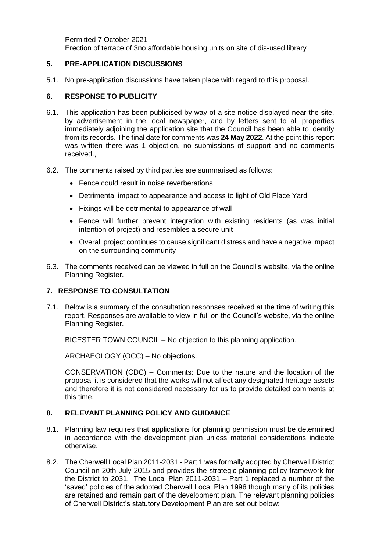Permitted 7 October 2021 Erection of terrace of 3no affordable housing units on site of dis-used library

# **5. PRE-APPLICATION DISCUSSIONS**

5.1. No pre-application discussions have taken place with regard to this proposal.

# **6. RESPONSE TO PUBLICITY**

- 6.1. This application has been publicised by way of a site notice displayed near the site, by advertisement in the local newspaper, and by letters sent to all properties immediately adjoining the application site that the Council has been able to identify from its records. The final date for comments was **24 May 2022**. At the point this report was written there was 1 objection, no submissions of support and no comments received.,
- 6.2. The comments raised by third parties are summarised as follows:
	- Fence could result in noise reverberations
	- Detrimental impact to appearance and access to light of Old Place Yard
	- Fixings will be detrimental to appearance of wall
	- Fence will further prevent integration with existing residents (as was initial intention of project) and resembles a secure unit
	- Overall project continues to cause significant distress and have a negative impact on the surrounding community
- 6.3. The comments received can be viewed in full on the Council's website, via the online Planning Register.

# **7. RESPONSE TO CONSULTATION**

7.1. Below is a summary of the consultation responses received at the time of writing this report. Responses are available to view in full on the Council's website, via the online Planning Register.

BICESTER TOWN COUNCIL – No objection to this planning application.

ARCHAEOLOGY (OCC) – No objections.

CONSERVATION (CDC) – Comments: Due to the nature and the location of the proposal it is considered that the works will not affect any designated heritage assets and therefore it is not considered necessary for us to provide detailed comments at this time.

# **8. RELEVANT PLANNING POLICY AND GUIDANCE**

- 8.1. Planning law requires that applications for planning permission must be determined in accordance with the development plan unless material considerations indicate otherwise.
- 8.2. The Cherwell Local Plan 2011-2031 Part 1 was formally adopted by Cherwell District Council on 20th July 2015 and provides the strategic planning policy framework for the District to 2031. The Local Plan 2011-2031 – Part 1 replaced a number of the 'saved' policies of the adopted Cherwell Local Plan 1996 though many of its policies are retained and remain part of the development plan. The relevant planning policies of Cherwell District's statutory Development Plan are set out below: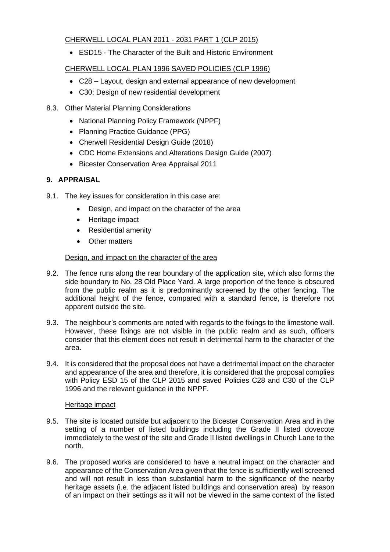# CHERWELL LOCAL PLAN 2011 - 2031 PART 1 (CLP 2015)

• ESD15 - The Character of the Built and Historic Environment

# CHERWELL LOCAL PLAN 1996 SAVED POLICIES (CLP 1996)

- C28 Layout, design and external appearance of new development
- C30: Design of new residential development

# 8.3. Other Material Planning Considerations

- National Planning Policy Framework (NPPF)
- Planning Practice Guidance (PPG)
- Cherwell Residential Design Guide (2018)
- CDC Home Extensions and Alterations Design Guide (2007)
- Bicester Conservation Area Appraisal 2011

# **9. APPRAISAL**

- 9.1. The key issues for consideration in this case are:
	- Design, and impact on the character of the area
	- Heritage impact
	- Residential amenity
	- Other matters

### Design, and impact on the character of the area

- 9.2. The fence runs along the rear boundary of the application site, which also forms the side boundary to No. 28 Old Place Yard. A large proportion of the fence is obscured from the public realm as it is predominantly screened by the other fencing. The additional height of the fence, compared with a standard fence, is therefore not apparent outside the site.
- 9.3. The neighbour's comments are noted with regards to the fixings to the limestone wall. However, these fixings are not visible in the public realm and as such, officers consider that this element does not result in detrimental harm to the character of the area.
- 9.4. It is considered that the proposal does not have a detrimental impact on the character and appearance of the area and therefore, it is considered that the proposal complies with Policy ESD 15 of the CLP 2015 and saved Policies C28 and C30 of the CLP 1996 and the relevant guidance in the NPPF.

#### Heritage impact

- 9.5. The site is located outside but adjacent to the Bicester Conservation Area and in the setting of a number of listed buildings including the Grade II listed dovecote immediately to the west of the site and Grade II listed dwellings in Church Lane to the north.
- 9.6. The proposed works are considered to have a neutral impact on the character and appearance of the Conservation Area given that the fence is sufficiently well screened and will not result in less than substantial harm to the significance of the nearby heritage assets (i.e. the adjacent listed buildings and conservation area) by reason of an impact on their settings as it will not be viewed in the same context of the listed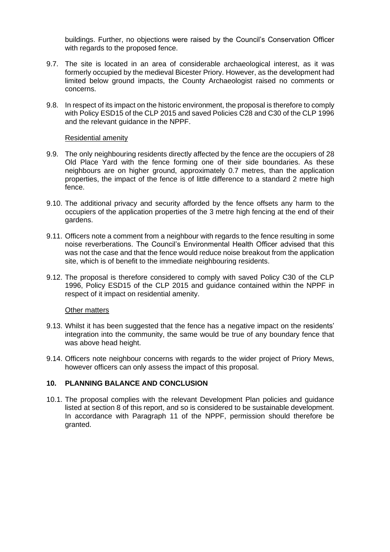buildings. Further, no objections were raised by the Council's Conservation Officer with regards to the proposed fence.

- 9.7. The site is located in an area of considerable archaeological interest, as it was formerly occupied by the medieval Bicester Priory. However, as the development had limited below ground impacts, the County Archaeologist raised no comments or concerns.
- 9.8. In respect of its impact on the historic environment, the proposal is therefore to comply with Policy ESD15 of the CLP 2015 and saved Policies C28 and C30 of the CLP 1996 and the relevant guidance in the NPPF.

### Residential amenity

- 9.9. The only neighbouring residents directly affected by the fence are the occupiers of 28 Old Place Yard with the fence forming one of their side boundaries. As these neighbours are on higher ground, approximately 0.7 metres, than the application properties, the impact of the fence is of little difference to a standard 2 metre high fence.
- 9.10. The additional privacy and security afforded by the fence offsets any harm to the occupiers of the application properties of the 3 metre high fencing at the end of their gardens.
- 9.11. Officers note a comment from a neighbour with regards to the fence resulting in some noise reverberations. The Council's Environmental Health Officer advised that this was not the case and that the fence would reduce noise breakout from the application site, which is of benefit to the immediate neighbouring residents.
- 9.12. The proposal is therefore considered to comply with saved Policy C30 of the CLP 1996, Policy ESD15 of the CLP 2015 and guidance contained within the NPPF in respect of it impact on residential amenity.

# **Other matters**

- 9.13. Whilst it has been suggested that the fence has a negative impact on the residents' integration into the community, the same would be true of any boundary fence that was above head height.
- 9.14. Officers note neighbour concerns with regards to the wider project of Priory Mews, however officers can only assess the impact of this proposal.

# **10. PLANNING BALANCE AND CONCLUSION**

10.1. The proposal complies with the relevant Development Plan policies and guidance listed at section 8 of this report, and so is considered to be sustainable development. In accordance with Paragraph 11 of the NPPF, permission should therefore be granted.